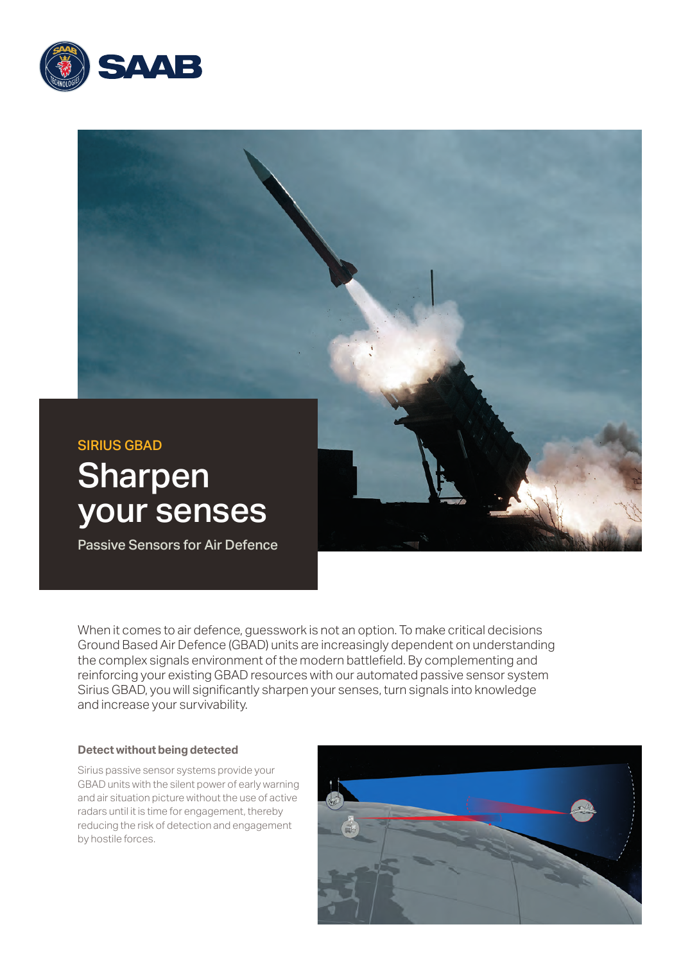



When it comes to air defence, guesswork is not an option. To make critical decisions Ground Based Air Defence (GBAD) units are increasingly dependent on understanding the complex signals environment of the modern battlefield. By complementing and reinforcing your existing GBAD resources with our automated passive sensor system Sirius GBAD, you will significantly sharpen your senses, turn signals into knowledge and increase your survivability.

#### **Detect without being detected**

Sirius passive sensor systems provide your GBAD units with the silent power of early warning and air situation picture without the use of active radars until it is time for engagement, thereby reducing the risk of detection and engagement by hostile forces.